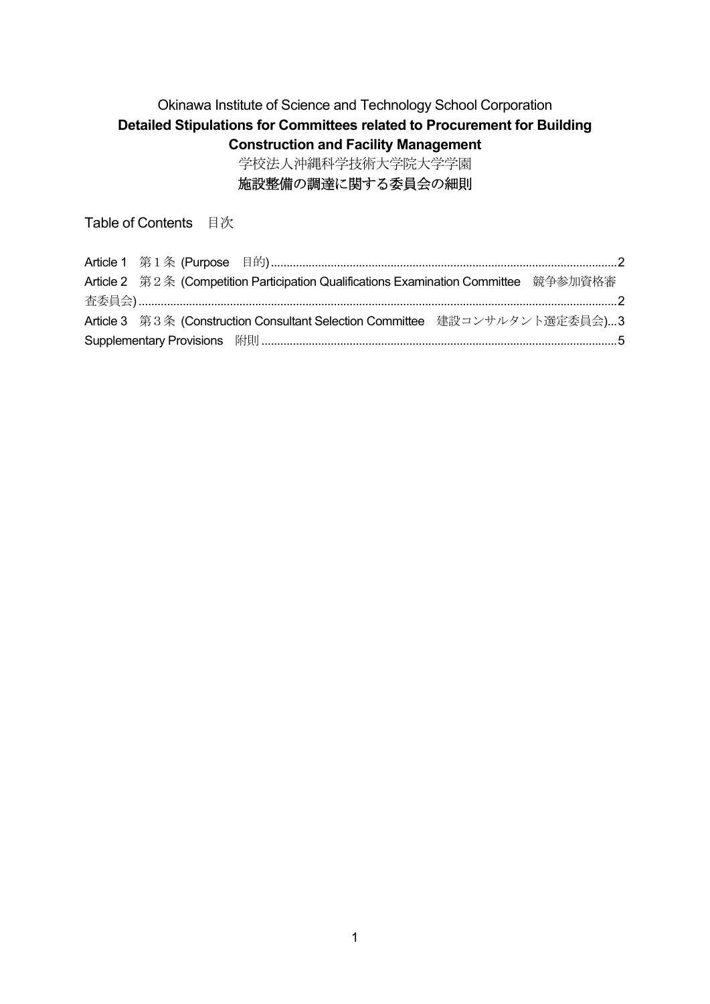# Okinawa Institute of Science and Technology School Corporation **Detailed Stipulations for Committees related to Procurement for Building Construction and Facility Management** 学校法人沖縄科学技術大学院大学学園

# 施設整備の調達に関する委員会の細則

Table of Contents 目次

|  | Article 2 第2条 (Competition Participation Qualifications Examination Committee 競争参加資格審 |  |
|--|---------------------------------------------------------------------------------------|--|
|  |                                                                                       |  |
|  | Article 3 第3条 (Construction Consultant Selection Committee 建設コンサルタント選定委員会)3           |  |
|  |                                                                                       |  |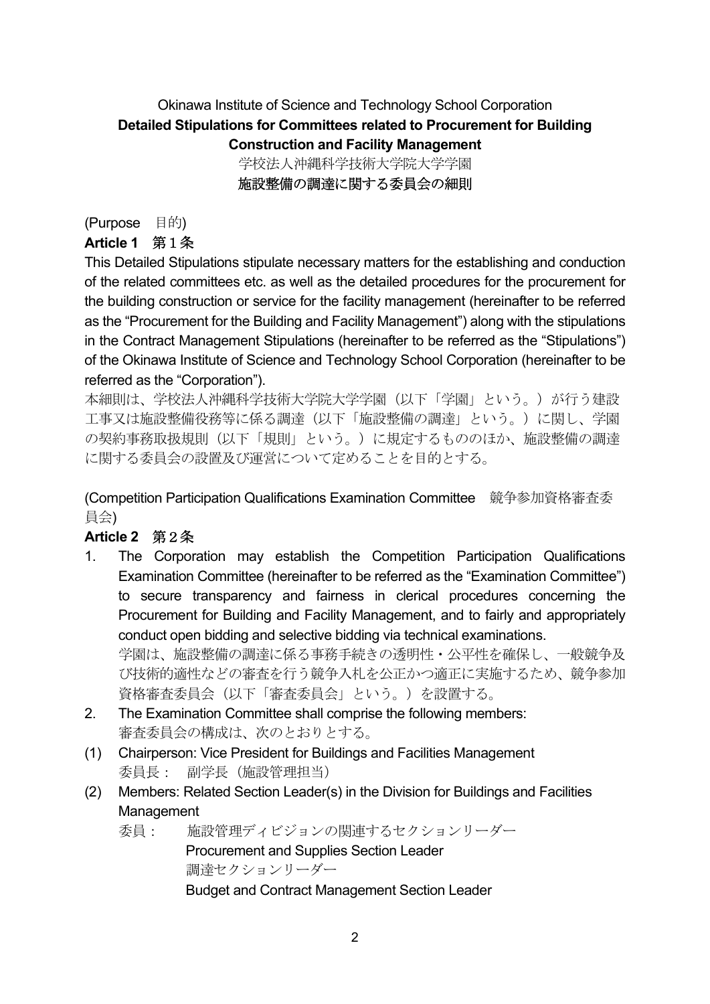# Okinawa Institute of Science and Technology School Corporation **Detailed Stipulations for Committees related to Procurement for Building Construction and Facility Management** 学校法人沖縄科学技術大学院大学学園

施設整備の調達に関する委員会の細則

### (Purpose 目的)

### **Article 1** 第1条

This Detailed Stipulations stipulate necessary matters for the establishing and conduction of the related committees etc. as well as the detailed procedures for the procurement for the building construction or service for the facility management (hereinafter to be referred as the "Procurement for the Building and Facility Management") along with the stipulations in the Contract Management Stipulations (hereinafter to be referred as the "Stipulations") of the Okinawa Institute of Science and Technology School Corporation (hereinafter to be referred as the "Corporation").

本細則は、学校法人沖縄科学技術大学院大学学園(以下「学園」という。)が行う建設 工事又は施設整備役務等に係る調達(以下「施設整備の調達」という。)に関し、学園 の契約事務取扱規則(以下「規則」という。)に規定するもののほか、施設整備の調達 に関する委員会の設置及び運営について定めることを目的とする。

(Competition Participation Qualifications Examination Committee 競争参加資格審査委 員会)

# **Article 2** 第2条

1. The Corporation may establish the Competition Participation Qualifications Examination Committee (hereinafter to be referred as the "Examination Committee") to secure transparency and fairness in clerical procedures concerning the Procurement for Building and Facility Management, and to fairly and appropriately conduct open bidding and selective bidding via technical examinations.

学園は、施設整備の調達に係る事務手続きの透明性・公平性を確保し、一般競争及 び技術的適性などの審査を行う競争入札を公正かつ適正に実施するため、競争参加 資格審査委員会(以下「審査委員会」という。)を設置する。

- 2. The Examination Committee shall comprise the following members: 審査委員会の構成は、次のとおりとする。
- (1) Chairperson: Vice President for Buildings and Facilities Management 委員長: 副学長(施設管理担当)
- (2) Members: Related Section Leader(s) in the Division for Buildings and Facilities **Management** 
	- 委員: 施設管理ディビジョンの関連するセクションリーダー Procurement and Supplies Section Leader 調達セクションリーダー Budget and Contract Management Section Leader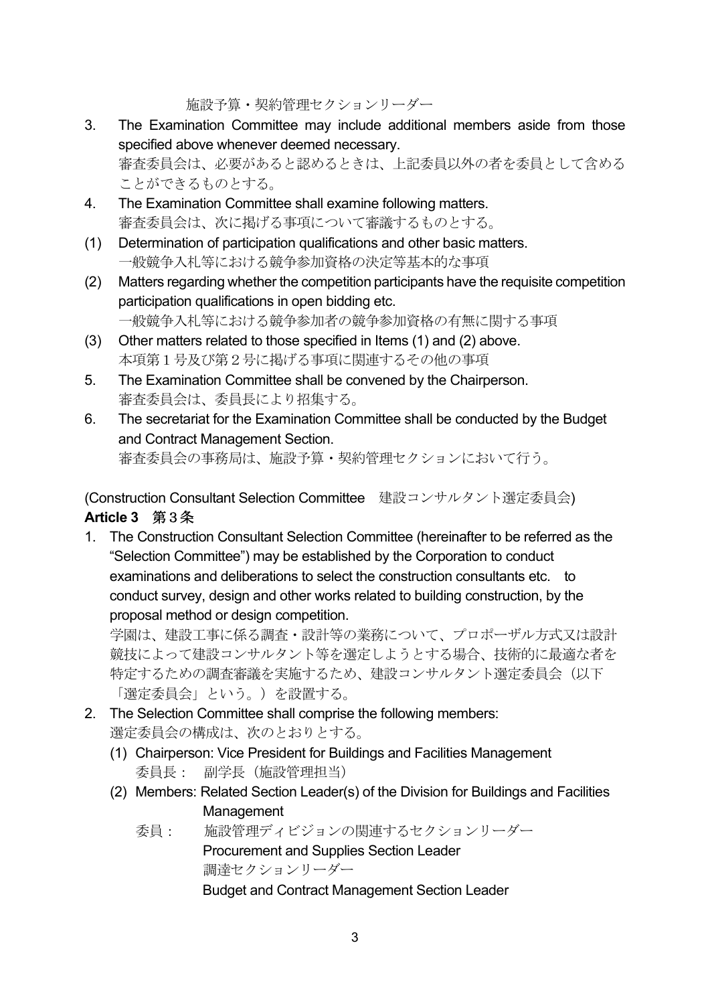施設予算・契約管理セクションリーダー

- 3. The Examination Committee may include additional members aside from those specified above whenever deemed necessary. 審査委員会は、必要があると認めるときは、上記委員以外の者を委員として含める ことができるものとする。
- 4. The Examination Committee shall examine following matters. 審査委員会は、次に掲げる事項について審議するものとする。
- (1) Determination of participation qualifications and other basic matters. 一般競争入札等における競争参加資格の決定等基本的な事項
- (2) Matters regarding whether the competition participants have the requisite competition participation qualifications in open bidding etc. 一般競争入札等における競争参加者の競争参加資格の有無に関する事項
- (3) Other matters related to those specified in Items (1) and (2) above. 本項第1号及び第2号に掲げる事項に関連するその他の事項
- 5. The Examination Committee shall be convened by the Chairperson. 審査委員会は、委員長により招集する。
- 6. The secretariat for the Examination Committee shall be conducted by the Budget and Contract Management Section. 審査委員会の事務局は、施設予算・契約管理セクションにおいて行う。

(Construction Consultant Selection Committee 建設コンサルタント選定委員会) **Article 3** 第3条

1. The Construction Consultant Selection Committee (hereinafter to be referred as the "Selection Committee") may be established by the Corporation to conduct examinations and deliberations to select the construction consultants etc. to conduct survey, design and other works related to building construction, by the proposal method or design competition.

学園は、建設工事に係る調査・設計等の業務について、プロポーザル方式又は設計 競技によって建設コンサルタント等を選定しようとする場合、技術的に最適な者を 特定するための調査審議を実施するため、建設コンサルタント選定委員会(以下 「選定委員会」という。)を設置する。

- 2. The Selection Committee shall comprise the following members: 選定委員会の構成は、次のとおりとする。
	- (1) Chairperson: Vice President for Buildings and Facilities Management 委員長: 副学長(施設管理担当)
	- (2) Members: Related Section Leader(s) of the Division for Buildings and Facilities **Management** 
		- 委員: 施設管理ディビジョンの関連するセクションリーダー Procurement and Supplies Section Leader 調達セクションリーダー Budget and Contract Management Section Leader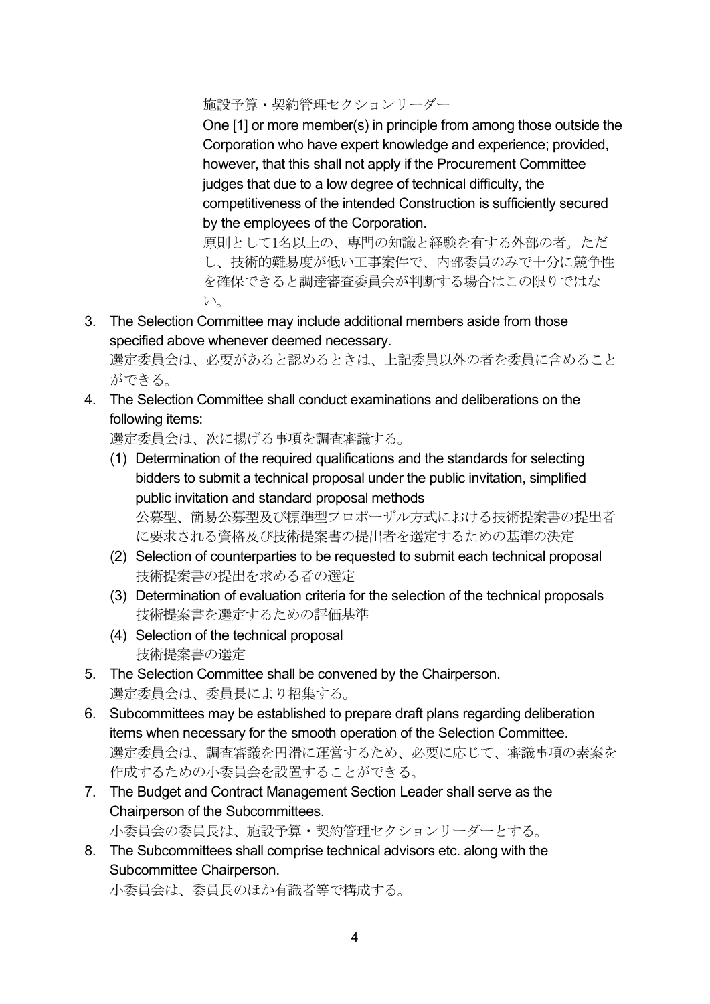施設予算・契約管理セクションリーダー

One [1] or more member(s) in principle from among those outside the Corporation who have expert knowledge and experience; provided, however, that this shall not apply if the Procurement Committee judges that due to a low degree of technical difficulty, the competitiveness of the intended Construction is sufficiently secured by the employees of the Corporation.

原則として1名以上の、専門の知識と経験を有する外部の者。ただ し、技術的難易度が低い工事案件で、内部委員のみで十分に競争性 を確保できると調達審査委員会が判断する場合はこの限りではな い。

3. The Selection Committee may include additional members aside from those specified above whenever deemed necessary.

選定委員会は、必要があると認めるときは、上記委員以外の者を委員に含めること ができる。

4. The Selection Committee shall conduct examinations and deliberations on the following items:

選定委員会は、次に揚げる事項を調査審議する。

- (1) Determination of the required qualifications and the standards for selecting bidders to submit a technical proposal under the public invitation, simplified public invitation and standard proposal methods 公募型、簡易公募型及び標準型プロポーザル方式における技術提案書の提出者 に要求される資格及び技術提案書の提出者を選定するための基準の決定
- (2) Selection of counterparties to be requested to submit each technical proposal 技術提案書の提出を求める者の選定
- (3) Determination of evaluation criteria for the selection of the technical proposals 技術提案書を選定するための評価基準
- (4) Selection of the technical proposal 技術提案書の選定
- 5. The Selection Committee shall be convened by the Chairperson. 選定委員会は、委員長により招集する。
- 6. Subcommittees may be established to prepare draft plans regarding deliberation items when necessary for the smooth operation of the Selection Committee. 選定委員会は、調査審議を円滑に運営するため、必要に応じて、審議事項の素案を 作成するための小委員会を設置することができる。
- 7. The Budget and Contract Management Section Leader shall serve as the Chairperson of the Subcommittees. 小委員会の委員長は、施設予算・契約管理セクションリーダーとする。
- 8. The Subcommittees shall comprise technical advisors etc. along with the Subcommittee Chairperson. 小委員会は、委員長のほか有識者等で構成する。